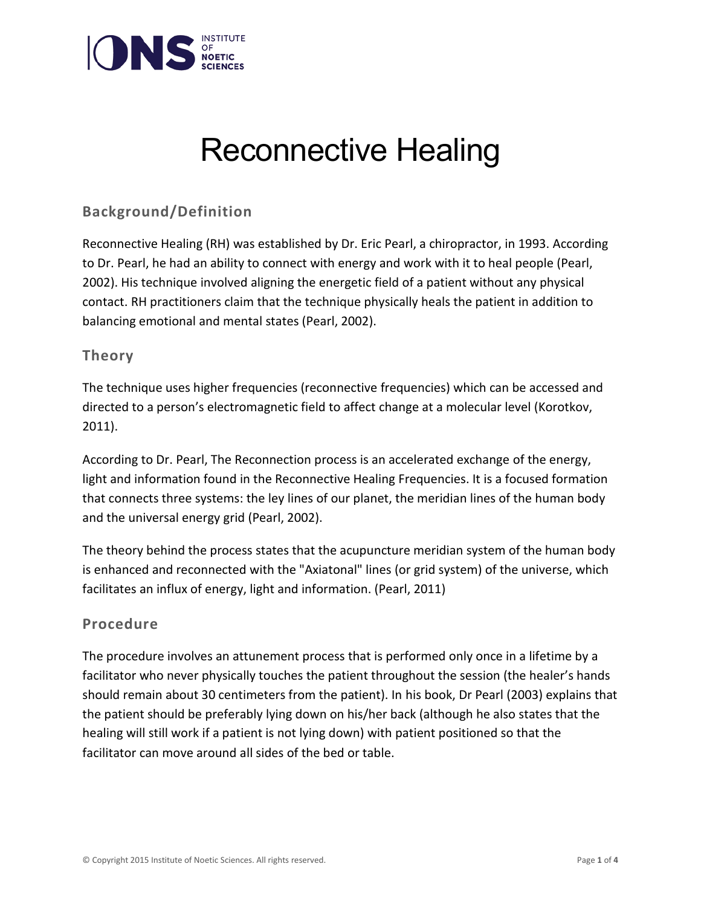

# Reconnective Healing

## **Background/Definition**

Reconnective Healing (RH) was established by Dr. Eric Pearl, a chiropractor, in 1993. According to Dr. Pearl, he had an ability to connect with energy and work with it to heal people (Pearl, 2002). His technique involved aligning the energetic field of a patient without any physical contact. RH practitioners claim that the technique physically heals the patient in addition to balancing emotional and mental states (Pearl, 2002).

### **Theory**

The technique uses higher frequencies (reconnective frequencies) which can be accessed and directed to a person's electromagnetic field to affect change at a molecular level (Korotkov, 2011).

According to Dr. Pearl, The Reconnection process is an accelerated exchange of the energy, light and information found in the Reconnective Healing Frequencies. It is a focused formation that connects three systems: the ley lines of our planet, the meridian lines of the human body and the universal energy grid (Pearl, 2002).

The theory behind the process states that the acupuncture meridian system of the human body is enhanced and reconnected with the "Axiatonal" lines (or grid system) of the universe, which facilitates an influx of energy, light and information. (Pearl, 2011)

### **Procedure**

The procedure involves an attunement process that is performed only once in a lifetime by a facilitator who never physically touches the patient throughout the session (the healer's hands should remain about 30 centimeters from the patient). In his book, Dr Pearl (2003) explains that the patient should be preferably lying down on his/her back (although he also states that the healing will still work if a patient is not lying down) with patient positioned so that the facilitator can move around all sides of the bed or table.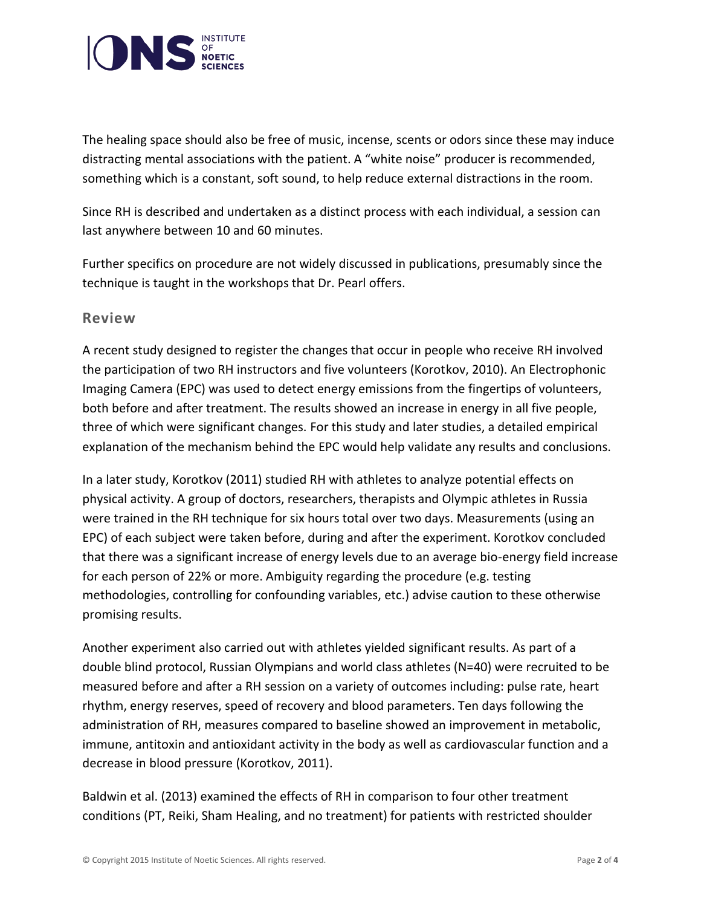

The healing space should also be free of music, incense, scents or odors since these may induce distracting mental associations with the patient. A "white noise" producer is recommended, something which is a constant, soft sound, to help reduce external distractions in the room.

Since RH is described and undertaken as a distinct process with each individual, a session can last anywhere between 10 and 60 minutes.

Further specifics on procedure are not widely discussed in publications, presumably since the technique is taught in the workshops that Dr. Pearl offers.

#### **Review**

A recent study designed to register the changes that occur in people who receive RH involved the participation of two RH instructors and five volunteers (Korotkov, 2010). An Electrophonic Imaging Camera (EPC) was used to detect energy emissions from the fingertips of volunteers, both before and after treatment. The results showed an increase in energy in all five people, three of which were significant changes. For this study and later studies, a detailed empirical explanation of the mechanism behind the EPC would help validate any results and conclusions.

In a later study, Korotkov (2011) studied RH with athletes to analyze potential effects on physical activity. A group of doctors, researchers, therapists and Olympic athletes in Russia were trained in the RH technique for six hours total over two days. Measurements (using an EPC) of each subject were taken before, during and after the experiment. Korotkov concluded that there was a significant increase of energy levels due to an average bio-energy field increase for each person of 22% or more. Ambiguity regarding the procedure (e.g. testing methodologies, controlling for confounding variables, etc.) advise caution to these otherwise promising results.

Another experiment also carried out with athletes yielded significant results. As part of a double blind protocol, Russian Olympians and world class athletes (N=40) were recruited to be measured before and after a RH session on a variety of outcomes including: pulse rate, heart rhythm, energy reserves, speed of recovery and blood parameters. Ten days following the administration of RH, measures compared to baseline showed an improvement in metabolic, immune, antitoxin and antioxidant activity in the body as well as cardiovascular function and a decrease in blood pressure (Korotkov, 2011).

Baldwin et al. (2013) examined the effects of RH in comparison to four other treatment conditions (PT, Reiki, Sham Healing, and no treatment) for patients with restricted shoulder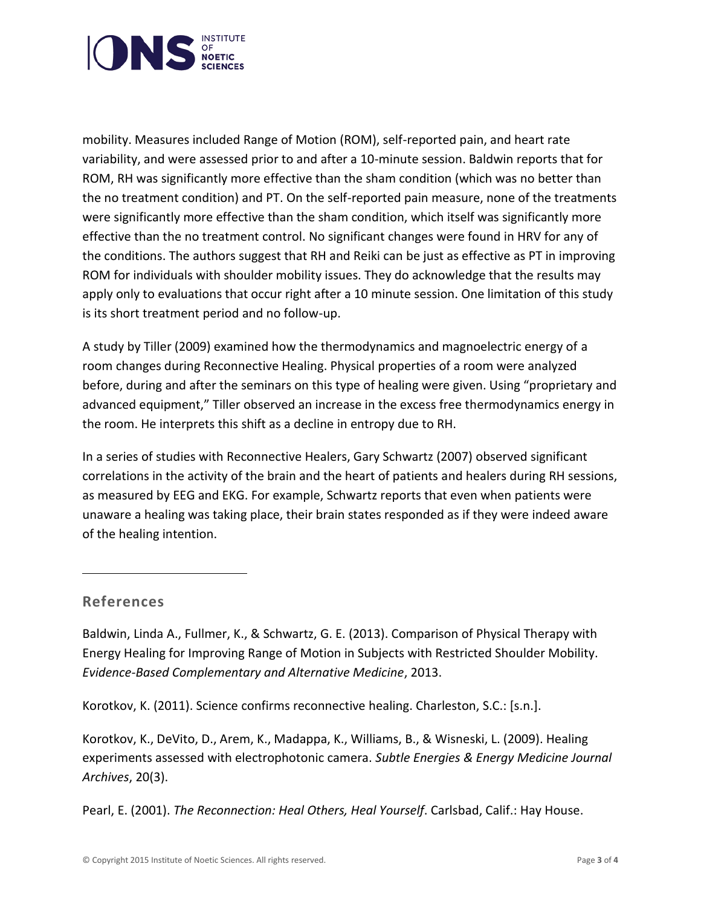

mobility. Measures included Range of Motion (ROM), self-reported pain, and heart rate variability, and were assessed prior to and after a 10-minute session. Baldwin reports that for ROM, RH was significantly more effective than the sham condition (which was no better than the no treatment condition) and PT. On the self-reported pain measure, none of the treatments were significantly more effective than the sham condition, which itself was significantly more effective than the no treatment control. No significant changes were found in HRV for any of the conditions. The authors suggest that RH and Reiki can be just as effective as PT in improving ROM for individuals with shoulder mobility issues. They do acknowledge that the results may apply only to evaluations that occur right after a 10 minute session. One limitation of this study is its short treatment period and no follow-up.

A study by Tiller (2009) examined how the thermodynamics and magnoelectric energy of a room changes during Reconnective Healing. Physical properties of a room were analyzed before, during and after the seminars on this type of healing were given. Using "proprietary and advanced equipment," Tiller observed an increase in the excess free thermodynamics energy in the room. He interprets this shift as a decline in entropy due to RH.

In a series of studies with Reconnective Healers, Gary Schwartz (2007) observed significant correlations in the activity of the brain and the heart of patients and healers during RH sessions, as measured by EEG and EKG. For example, Schwartz reports that even when patients were unaware a healing was taking place, their brain states responded as if they were indeed aware of the healing intention.

### **References**

Baldwin, Linda A., Fullmer, K., & Schwartz, G. E. (2013). Comparison of Physical Therapy with Energy Healing for Improving Range of Motion in Subjects with Restricted Shoulder Mobility. *Evidence-Based Complementary and Alternative Medicine*, 2013.

Korotkov, K. (2011). Science confirms reconnective healing. Charleston, S.C.: [s.n.].

Korotkov, K., DeVito, D., Arem, K., Madappa, K., Williams, B., & Wisneski, L. (2009). Healing experiments assessed with electrophotonic camera. *Subtle Energies & Energy Medicine Journal Archives*, 20(3).

Pearl, E. (2001). *The Reconnection: Heal Others, Heal Yourself*. Carlsbad, Calif.: Hay House.